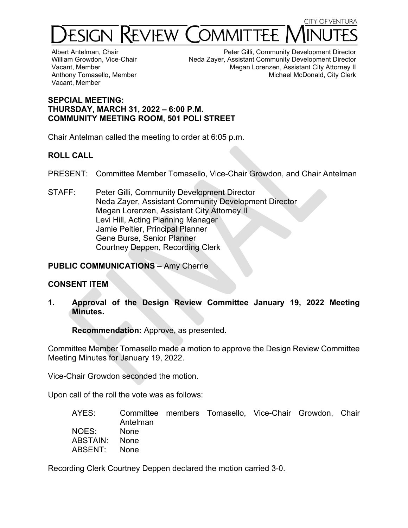

Albert Antelman, Chair William Growdon, Vice-Chair Vacant, Member Anthony Tomasello, Member Vacant, Member

Peter Gilli, Community Development Director Neda Zayer, Assistant Community Development Director Megan Lorenzen, Assistant City Attorney II Michael McDonald, City Clerk

## **SEPCIAL MEETING: THURSDAY, MARCH 31, 2022 – 6:00 P.M. COMMUNITY MEETING ROOM, 501 POLI STREET**

Chair Antelman called the meeting to order at 6:05 p.m.

# **ROLL CALL**

PRESENT: Committee Member Tomasello, Vice-Chair Growdon, and Chair Antelman

STAFF: Peter Gilli, Community Development Director Neda Zayer, Assistant Community Development Director Megan Lorenzen, Assistant City Attorney II Levi Hill, Acting Planning Manager Jamie Peltier, Principal Planner Gene Burse, Senior Planner Courtney Deppen, Recording Clerk

**PUBLIC COMMUNICATIONS** – Amy Cherrie

## **CONSENT ITEM**

**1. Approval of the Design Review Committee January 19, 2022 Meeting Minutes.** 

**Recommendation:** Approve, as presented.

Committee Member Tomasello made a motion to approve the Design Review Committee Meeting Minutes for January 19, 2022.

Vice-Chair Growdon seconded the motion.

Upon call of the roll the vote was as follows:

| AYES:         |             | Committee members Tomasello, Vice-Chair Growdon, Chair |  |  |
|---------------|-------------|--------------------------------------------------------|--|--|
|               | Antelman    |                                                        |  |  |
| NOES:         | <b>None</b> |                                                        |  |  |
| ABSTAIN: None |             |                                                        |  |  |
| ABSENT: None  |             |                                                        |  |  |

Recording Clerk Courtney Deppen declared the motion carried 3-0.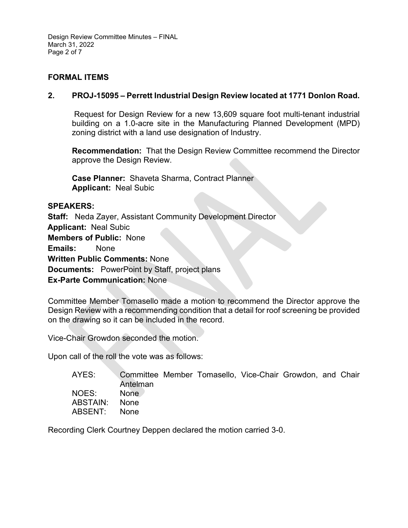Design Review Committee Minutes – FINAL March 31, 2022 Page 2 of 7

## **FORMAL ITEMS**

## **2. PROJ-15095 – Perrett Industrial Design Review located at 1771 Donlon Road.**

Request for Design Review for a new 13,609 square foot multi-tenant industrial building on a 1.0-acre site in the Manufacturing Planned Development (MPD) zoning district with a land use designation of Industry.

**Recommendation:** That the Design Review Committee recommend the Director approve the Design Review.

**Case Planner:** Shaveta Sharma, Contract Planner **Applicant:** Neal Subic

#### **SPEAKERS:**

**Staff:** Neda Zayer, Assistant Community Development Director **Applicant:** Neal Subic **Members of Public:** None **Emails:** None **Written Public Comments:** None **Documents:** PowerPoint by Staff, project plans **Ex-Parte Communication:** None

Committee Member Tomasello made a motion to recommend the Director approve the Design Review with a recommending condition that a detail for roof screening be provided on the drawing so it can be included in the record.

Vice-Chair Growdon seconded the motion.

Upon call of the roll the vote was as follows:

| AYES:    | Antelman | Committee Member Tomasello, Vice-Chair Growdon, and Chair |  |  |
|----------|----------|-----------------------------------------------------------|--|--|
| NOES:    | None     |                                                           |  |  |
| ABSTAIN: | – None   |                                                           |  |  |
| ABSENT:  | – None   |                                                           |  |  |

Recording Clerk Courtney Deppen declared the motion carried 3-0.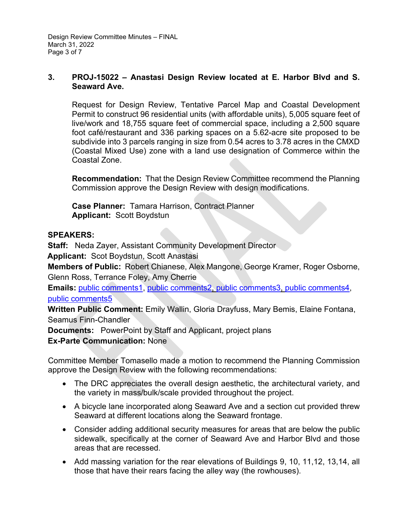## **3. PROJ-15022 – Anastasi Design Review located at E. Harbor Blvd and S. Seaward Ave.**

Request for Design Review, Tentative Parcel Map and Coastal Development Permit to construct 96 residential units (with affordable units), 5,005 square feet of live/work and 18,755 square feet of commercial space, including a 2,500 square foot café/restaurant and 336 parking spaces on a 5.62-acre site proposed to be subdivide into 3 parcels ranging in size from 0.54 acres to 3.78 acres in the CMXD (Coastal Mixed Use) zone with a land use designation of Commerce within the Coastal Zone.

**Recommendation:** That the Design Review Committee recommend the Planning Commission approve the Design Review with design modifications.

**Case Planner:** Tamara Harrison, Contract Planner **Applicant:** Scott Boydstun

## **SPEAKERS:**

**Staff:** Neda Zayer, Assistant Community Development Director

**Applicant:** Scot Boydstun, Scott Anastasi

**Members of Public:** Robert Chianese, Alex Mangone, George Kramer, Roger Osborne, Glenn Ross, Terrance Foley, Amy Cherrie

**Emails:** [public comments1,](https://www.cityofventura.ca.gov/DocumentCenter/View/31182/public-comment) [public comments2,](https://www.cityofventura.ca.gov/DocumentCenter/View/31200/DRC-Supplimental-Packet-033122---Agenda-Item-3) [public comments3,](https://www.cityofventura.ca.gov/DocumentCenter/View/31217/DRC-Supplimental-Packet-033122---Agenda-Item-3) [public comments4,](https://www.cityofventura.ca.gov/DocumentCenter/View/31223/DRC-Supplimental-Packet-033122---Agenda-Item-3) [public comments5](https://www.cityofventura.ca.gov/DocumentCenter/View/31238/DRC-Supplimental-Packet-033122---Agenda-Item-3)

**Written Public Comment:** Emily Wallin, Gloria Drayfuss, Mary Bemis, Elaine Fontana, Seamus Finn-Chandler

**Documents:** PowerPoint by Staff and Applicant, project plans

**Ex-Parte Communication:** None

Committee Member Tomasello made a motion to recommend the Planning Commission approve the Design Review with the following recommendations:

- The DRC appreciates the overall design aesthetic, the architectural variety, and the variety in mass/bulk/scale provided throughout the project.
- A bicycle lane incorporated along Seaward Ave and a section cut provided threw Seaward at different locations along the Seaward frontage.
- Consider adding additional security measures for areas that are below the public sidewalk, specifically at the corner of Seaward Ave and Harbor Blvd and those areas that are recessed.
- Add massing variation for the rear elevations of Buildings 9, 10, 11,12, 13,14, all those that have their rears facing the alley way (the rowhouses).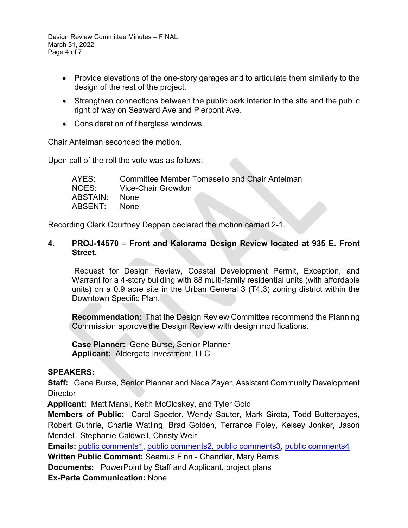Design Review Committee Minutes – FINAL March 31, 2022 Page 4 of 7

- Provide elevations of the one-story garages and to articulate them similarly to the design of the rest of the project.
- Strengthen connections between the public park interior to the site and the public right of way on Seaward Ave and Pierpont Ave.
- Consideration of fiberglass windows.

Chair Antelman seconded the motion.

Upon call of the roll the vote was as follows:

| AYES:    | Committee Member Tomasello and Chair Antelman |  |
|----------|-----------------------------------------------|--|
| NOES:    | Vice-Chair Growdon                            |  |
| ABSTAIN: | <b>None</b>                                   |  |
| ABSENT:  | <b>None</b>                                   |  |

Recording Clerk Courtney Deppen declared the motion carried 2-1.

## **4. PROJ-14570 – Front and Kalorama Design Review located at 935 E. Front Street.**

Request for Design Review, Coastal Development Permit, Exception, and Warrant for a 4-story building with 88 multi-family residential units (with affordable units) on a 0.9 acre site in the Urban General 3 (T4.3) zoning district within the Downtown Specific Plan.

**Recommendation:** That the Design Review Committee recommend the Planning Commission approve the Design Review with design modifications.

**Case Planner:** Gene Burse, Senior Planner **Applicant:** Aldergate Investment, LLC

## **SPEAKERS:**

**Staff:** Gene Burse, Senior Planner and Neda Zayer, Assistant Community Development **Director** 

**Applicant:** Matt Mansi, Keith McCloskey, and Tyler Gold

**Members of Public:** Carol Spector, Wendy Sauter, Mark Sirota, Todd Butterbayes, Robert Guthrie, Charlie Watling, Brad Golden, Terrance Foley, Kelsey Jonker, Jason Mendell, Stephanie Caldwell, Christy Weir

**Emails:** [public comments1,](https://www.cityofventura.ca.gov/DocumentCenter/View/31201/DRC-Supplimental-Packet-033122---Agenda-Item-4) [public comments2,](https://www.cityofventura.ca.gov/DocumentCenter/View/31218/DRC-Supplimental-Packet-033122---Agenda-Item-4) [public comments3,](https://www.cityofventura.ca.gov/DocumentCenter/View/31224/DRC-Supplimental-Packet-033122---Agenda-Item-4) [public comments4](https://www.cityofventura.ca.gov/DocumentCenter/View/31239/DRC-Supplimental-Packet-033122---Agenda-Item-4)

**Written Public Comment:** Seamus Finn - Chandler, Mary Bemis

**Documents:** PowerPoint by Staff and Applicant, project plans

**Ex-Parte Communication:** None